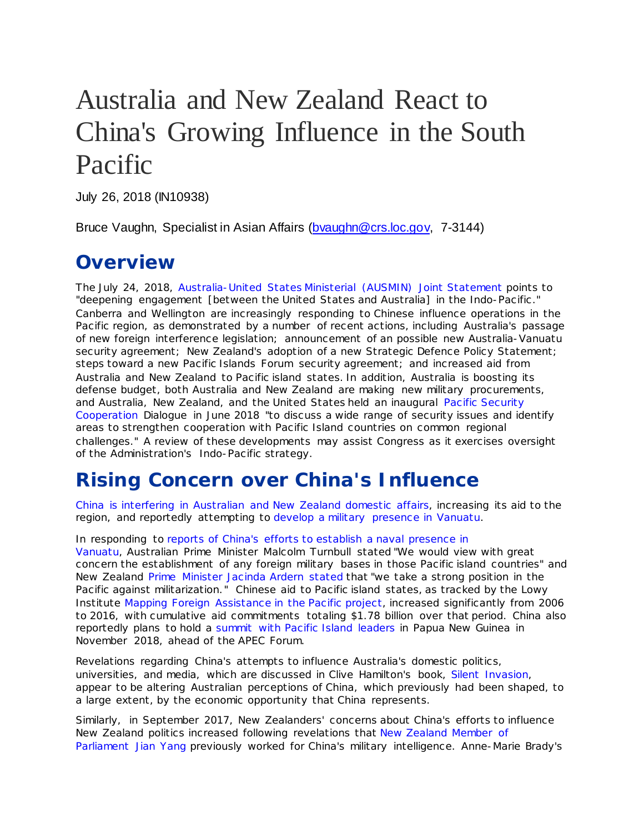## Australia and New Zealand React to China's Growing Influence in the South Pacific

July 26, 2018 (IN10938)

Bruce Vaughn, Specialist in Asian Affairs [\(bvaughn@crs.loc.gov,](mailto:bvaughn@crs.loc.gov) 7-3144)

## **Overview**

The July 24, 2018, [Australia-United States Ministerial \(AUSMIN\)](https://www.state.gov/r/pa/prs/ps/2018/07/284460.htm) Joint Statement points to "deepening engagement [between the United States and Australia] in the Indo-Pacific ." Canberra and Wellington are increasingly responding to Chinese influence operations in the Pacific region, as demonstrated by a number of recent actions, including Australia's passage of new foreign interference legislation; announcement of an possible new Australia-Vanuatu security agreement; New Zealand's adoption of a new Strategic Defence Policy Statement; steps toward a new Pacific Islands Forum security agreement; and increased aid from Australia and New Zealand to Pacific island states. In addition, Australia is boosting its defense budget, both Australia and New Zealand are making new military procurements, and Australia, New Zealand, and the United States held an inaugural [Pacific Security](https://www.state.gov/r/pa/prs/ps/2018/06/283056.htm)  [Cooperation](https://www.state.gov/r/pa/prs/ps/2018/06/283056.htm) Dialogue in June 2018 "to discuss a wide range of security issues and identify areas to strengthen cooperation with Pacific Island countries on common regional challenges." A review of these developments may assist Congress as it exercises oversight of the Administration's Indo-Pacific strategy.

## **Rising Concern over China's Influence**

China is interfering in [Australian and New Zealand](https://www.cfr.org/expert-brief/australia-new-zealand-face-chinas-influence) domestic affairs, increasing its aid to the region, and reportedly attempting to develop a [military presence](https://thediplomat.com/2018/04/a-southern-pacific-base-for-the-chinese-navy-in-vanuatu/) in Vanuatu.

In responding to [reports of China's](https://www.economist.com/asia/2018/04/20/australia-is-edgy-about-chinas-growing-presence-on-its-doorstep) efforts to establish a naval presence in [Vanuatu,](https://www.economist.com/asia/2018/04/20/australia-is-edgy-about-chinas-growing-presence-on-its-doorstep) Australian Prime Minister Malcolm Turnbull stated "We would view with great concern the establishment of any foreign military bases in those Pacific island countries" and New Zealand [Prime Minister Jacinda Ardern stated](https://www.radionz.co.nz/news/political/354671/nz-strongly-opposes-militarisation-of-the-pacific-pm) that "we take a strong position in the Pacific against militarization." Chinese aid to Pacific island states, as tracked by the Lowy Institute [Mapping Foreign Assistance in the Pacific project,](https://www.lowyinstitute.org/about/programs-and-projects/mapping-foreign-assistance-pacific) increased significantly from 2006 to 2016, with cumulative aid commitments totaling \$1.78 billion over that period. China also reportedly plans to hold a [summit with Pacific Island leaders](https://www.straitstimes.com/asia/east-asia/china-eyes-pacific-summit-as-new-zealand-warns-of-power-vacuum) in Papua New Guinea in November 2018, ahead of the APEC Forum.

Revelations regarding China's attempts to influence Australia's domestic politics, universities, and media, which are discussed in Clive Hamilton's book, *[Silent Invasion](https://www.theguardian.com/australia-news/2018/apr/27/china-waging-psychological-warfare-against-australia-us-congress-told)*, appear to be altering Australian perceptions of China, which previously had been shaped, to a large extent, by the economic opportunity that China represents.

Similarly, in September 2017, New Zealanders' concerns about China's efforts to influence New Zealand politics increased following revelations that [New Zealand Member of](https://www.bbc.com/news/world-asia-41256914)  [Parliament Jian Yang](https://www.bbc.com/news/world-asia-41256914) previously worked for China's military intelligence. Anne-Marie Brady's